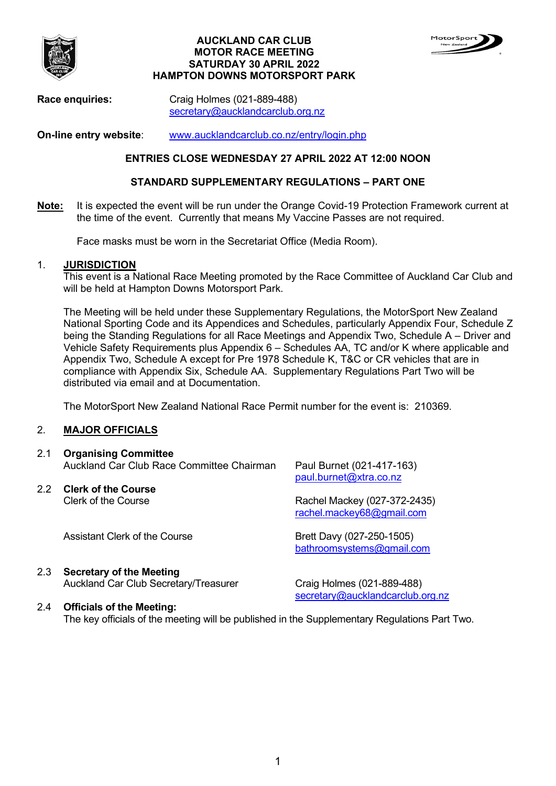

#### **AUCKLAND CAR CLUB MOTOR RACE MEETING SATURDAY 30 APRIL 2022 HAMPTON DOWNS MOTORSPORT PARK**



**Race enquiries:** Craig Holmes (021-889-488) [secretary@aucklandcarclub.org.nz](mailto:secretary@aucklandcarclub.org.nz)

**On-line entry website**: [www.aucklandcarclub.co.nz/entry/login.php](http://www.aucklandcarclub.co.nz/entry/login.php) 

## **ENTRIES CLOSE WEDNESDAY 27 APRIL 2022 AT 12:00 NOON**

#### **STANDARD SUPPLEMENTARY REGULATIONS – PART ONE**

**Note:** It is expected the event will be run under the Orange Covid-19 Protection Framework current at the time of the event. Currently that means My Vaccine Passes are not required.

Face masks must be worn in the Secretariat Office (Media Room).

#### 1. **JURISDICTION**

This event is a National Race Meeting promoted by the Race Committee of Auckland Car Club and will be held at Hampton Downs Motorsport Park.

The Meeting will be held under these Supplementary Regulations, the MotorSport New Zealand National Sporting Code and its Appendices and Schedules, particularly Appendix Four, Schedule Z being the Standing Regulations for all Race Meetings and Appendix Two, Schedule A – Driver and Vehicle Safety Requirements plus Appendix 6 – Schedules AA, TC and/or K where applicable and Appendix Two, Schedule A except for Pre 1978 Schedule K, T&C or CR vehicles that are in compliance with Appendix Six, Schedule AA. Supplementary Regulations Part Two will be distributed via email and at Documentation.

The MotorSport New Zealand National Race Permit number for the event is: 210369.

#### 2. **MAJOR OFFICIALS**

#### 2.1 **Organising Committee** Auckland Car Club Race Committee Chairman Paul Burnet (021-417-163)

2.2 **Clerk of the Course**

[paul.burnet@xtra.co.nz](mailto:paul.burnet@xtra.co.nz) 

Rachel Mackey (027-372-2435) [rachel.mackey68@gmail.com](mailto:rachel.mackey68@gmail.com) 

[bathroomsystems@gmail.com](mailto:bathroomsystems@gmail.com)

Assistant Clerk of the Course Brett Davy (027-250-1505)

# 2.3 **Secretary of the Meeting**

Auckland Car Club Secretary/Treasurer Craig Holmes (021-889-488)

[secretary@aucklandcarclub.org.nz](mailto:secretary@aucklandcarclub.org.nz) 

## 2.4 **Officials of the Meeting:**

The key officials of the meeting will be published in the Supplementary Regulations Part Two.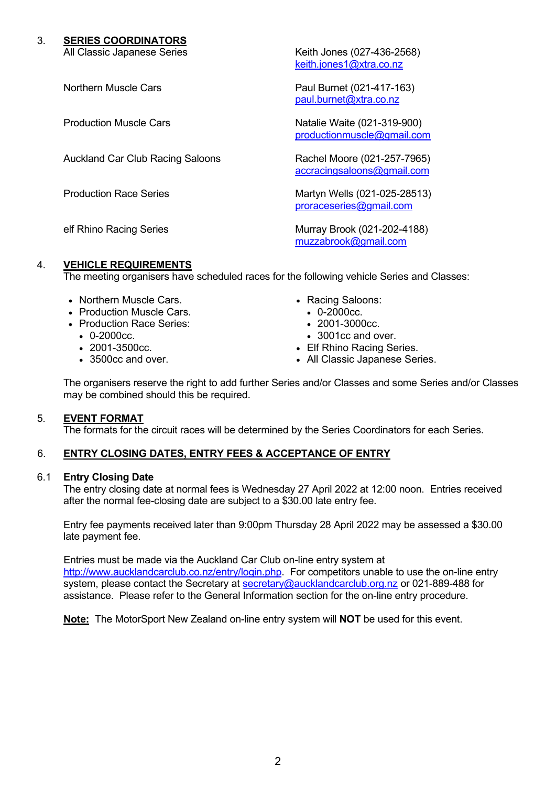# 3. **SERIES COORDINATORS**

Auckland Car Club Racing Saloons Rachel Moore (021-257-7965)

All Classic Japanese Series **Keith Jones (027-436-2568)** [keith.jones1@xtra.co.nz](mailto:keith.jones1@xtra.co.nz)

Northern Muscle Cars **Paul Burnet (021-417-163)** [paul.burnet@xtra.co.nz](mailto:paul.burnet@xtra.co.nz)

Production Muscle Cars Natalie Waite (021-319-900) [productionmuscle@gmail.com](mailto:productionmuscle@gmail.com) 

[accracingsaloons@gmail.com](mailto:accracingsaloons@gmail.com)

Production Race Series Martyn Wells (021-025-28513) [proraceseries@gmail.com](mailto:proraceseries@gmail.com)

elf Rhino Racing Series **Murray Brook** (021-202-4188) [muzzabrook@gmail.com](mailto:muzzabrook@gmail.com)

# <span id="page-1-0"></span>4. **VEHICLE REQUIREMENTS**

The meeting organisers have scheduled races for the following vehicle Series and Classes:

- Northern Muscle Cars.
- Production Muscle Cars.
- Production Race Series:
	- 0-2000cc.
	- 2001-3500cc.
	- 3500cc and over.
- Racing Saloons:
	- 0-2000cc.
	- 2001-3000cc.
	- 3001cc and over.
- Elf Rhino Racing Series.
- All Classic Japanese Series.

The organisers reserve the right to add further Series and/or Classes and some Series and/or Classes may be combined should this be required.

#### 5. **EVENT FORMAT**

The formats for the circuit races will be determined by the Series Coordinators for each Series.

# 6. **ENTRY CLOSING DATES, ENTRY FEES & ACCEPTANCE OF ENTRY**

#### 6.1 **Entry Closing Date**

The entry closing date at normal fees is Wednesday 27 April 2022 at 12:00 noon. Entries received after the normal fee-closing date are subject to a \$30.00 late entry fee.

Entry fee payments received later than 9:00pm Thursday 28 April 2022 may be assessed a \$30.00 late payment fee.

Entries must be made via the Auckland Car Club on-line entry system at [http://www.aucklandcarclub.co.nz/entry/login.php.](http://www.aucklandcarclub.co.nz/entry/login.php) For competitors unable to use the on-line entry system, please contact the Secretary at [secretary@aucklandcarclub.org.nz](mailto:secretary@aucklandcarclub.org.nz) or 021-889-488 for assistance. Please refer to the General Information section for the on-line entry procedure.

**Note:** The MotorSport New Zealand on-line entry system will **NOT** be used for this event.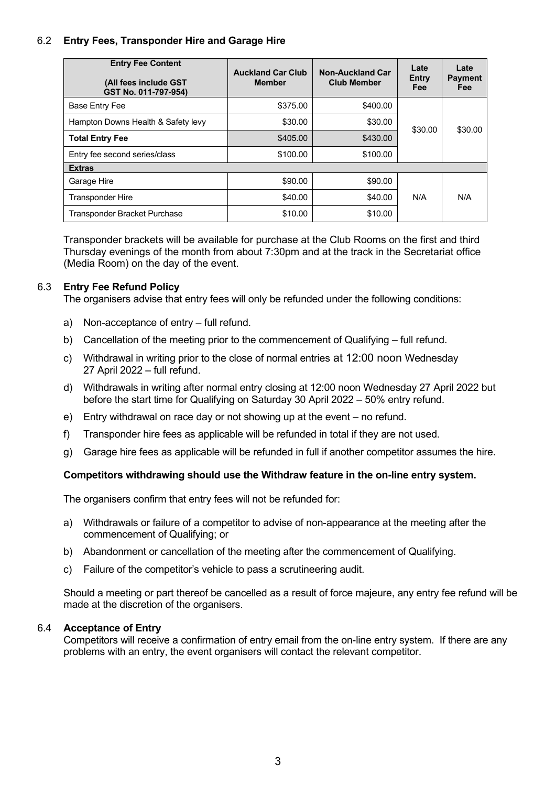## 6.2 **Entry Fees, Transponder Hire and Garage Hire**

| <b>Entry Fee Content</b><br>(All fees include GST<br>GST No. 011-797-954) | <b>Auckland Car Club</b><br><b>Member</b> | <b>Non-Auckland Car</b><br><b>Club Member</b> | Late<br>Entry<br><b>Fee</b> | Late<br><b>Payment</b><br>Fee |
|---------------------------------------------------------------------------|-------------------------------------------|-----------------------------------------------|-----------------------------|-------------------------------|
| Base Entry Fee                                                            | \$375.00                                  | \$400.00                                      | \$30.00                     | \$30.00                       |
| Hampton Downs Health & Safety levy                                        | \$30.00                                   | \$30.00                                       |                             |                               |
| <b>Total Entry Fee</b>                                                    | \$405.00                                  | \$430.00                                      |                             |                               |
| Entry fee second series/class                                             | \$100.00                                  | \$100.00                                      |                             |                               |
| <b>Extras</b>                                                             |                                           |                                               |                             |                               |
| Garage Hire                                                               | \$90.00                                   | \$90.00                                       | N/A                         | N/A                           |
| <b>Transponder Hire</b>                                                   | \$40.00                                   | \$40.00                                       |                             |                               |
| Transponder Bracket Purchase                                              | \$10.00                                   | \$10.00                                       |                             |                               |

Transponder brackets will be available for purchase at the Club Rooms on the first and third Thursday evenings of the month from about 7:30pm and at the track in the Secretariat office (Media Room) on the day of the event.

#### 6.3 **Entry Fee Refund Policy**

The organisers advise that entry fees will only be refunded under the following conditions:

- a) Non-acceptance of entry full refund.
- b) Cancellation of the meeting prior to the commencement of Qualifying full refund.
- c) Withdrawal in writing prior to the close of normal entries at 12:00 noon Wednesday 27 April 2022 – full refund.
- d) Withdrawals in writing after normal entry closing at 12:00 noon Wednesday 27 April 2022 but before the start time for Qualifying on Saturday 30 April 2022 – 50% entry refund.
- e) Entry withdrawal on race day or not showing up at the event no refund.
- f) Transponder hire fees as applicable will be refunded in total if they are not used.
- g) Garage hire fees as applicable will be refunded in full if another competitor assumes the hire.

#### **Competitors withdrawing should use the Withdraw feature in the on-line entry system.**

The organisers confirm that entry fees will not be refunded for:

- a) Withdrawals or failure of a competitor to advise of non-appearance at the meeting after the commencement of Qualifying; or
- b) Abandonment or cancellation of the meeting after the commencement of Qualifying.
- c) Failure of the competitor's vehicle to pass a scrutineering audit.

Should a meeting or part thereof be cancelled as a result of force majeure, any entry fee refund will be made at the discretion of the organisers.

#### 6.4 **Acceptance of Entry**

Competitors will receive a confirmation of entry email from the on-line entry system. If there are any problems with an entry, the event organisers will contact the relevant competitor.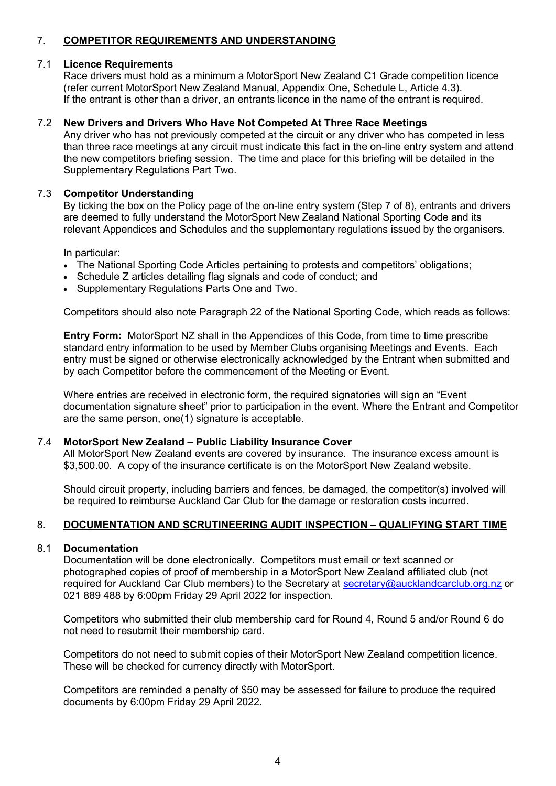# 7. **COMPETITOR REQUIREMENTS AND UNDERSTANDING**

## 7.1 **Licence Requirements**

Race drivers must hold as a minimum a MotorSport New Zealand C1 Grade competition licence (refer current MotorSport New Zealand Manual, Appendix One, Schedule L, Article 4.3). If the entrant is other than a driver, an entrants licence in the name of the entrant is required.

## 7.2 **New Drivers and Drivers Who Have Not Competed At Three Race Meetings**

Any driver who has not previously competed at the circuit or any driver who has competed in less than three race meetings at any circuit must indicate this fact in the on-line entry system and attend the new competitors briefing session. The time and place for this briefing will be detailed in the Supplementary Regulations Part Two.

#### 7.3 **Competitor Understanding**

By ticking the box on the Policy page of the on-line entry system (Step 7 of 8), entrants and drivers are deemed to fully understand the MotorSport New Zealand National Sporting Code and its relevant Appendices and Schedules and the supplementary regulations issued by the organisers.

In particular:

- The National Sporting Code Articles pertaining to protests and competitors' obligations;
- Schedule Z articles detailing flag signals and code of conduct; and
- Supplementary Regulations Parts One and Two.

Competitors should also note Paragraph 22 of the National Sporting Code, which reads as follows:

**Entry Form:** MotorSport NZ shall in the Appendices of this Code, from time to time prescribe standard entry information to be used by Member Clubs organising Meetings and Events. Each entry must be signed or otherwise electronically acknowledged by the Entrant when submitted and by each Competitor before the commencement of the Meeting or Event.

Where entries are received in electronic form, the required signatories will sign an "Event documentation signature sheet" prior to participation in the event. Where the Entrant and Competitor are the same person, one(1) signature is acceptable.

#### 7.4 **MotorSport New Zealand – Public Liability Insurance Cover**

All MotorSport New Zealand events are covered by insurance. The insurance excess amount is \$3,500.00. A copy of the insurance certificate is on the MotorSport New Zealand website.

Should circuit property, including barriers and fences, be damaged, the competitor(s) involved will be required to reimburse Auckland Car Club for the damage or restoration costs incurred.

# 8. **DOCUMENTATION AND SCRUTINEERING AUDIT INSPECTION – QUALIFYING START TIME**

#### 8.1 **Documentation**

Documentation will be done electronically. Competitors must email or text scanned or photographed copies of proof of membership in a MotorSport New Zealand affiliated club (not required for Auckland Car Club members) to the Secretary at [secretary@aucklandcarclub.org.nz](mailto:secretary@aucklandcarclub.org.nz) or 021 889 488 by 6:00pm Friday 29 April 2022 for inspection.

Competitors who submitted their club membership card for Round 4, Round 5 and/or Round 6 do not need to resubmit their membership card.

Competitors do not need to submit copies of their MotorSport New Zealand competition licence. These will be checked for currency directly with MotorSport.

Competitors are reminded a penalty of \$50 may be assessed for failure to produce the required documents by 6:00pm Friday 29 April 2022.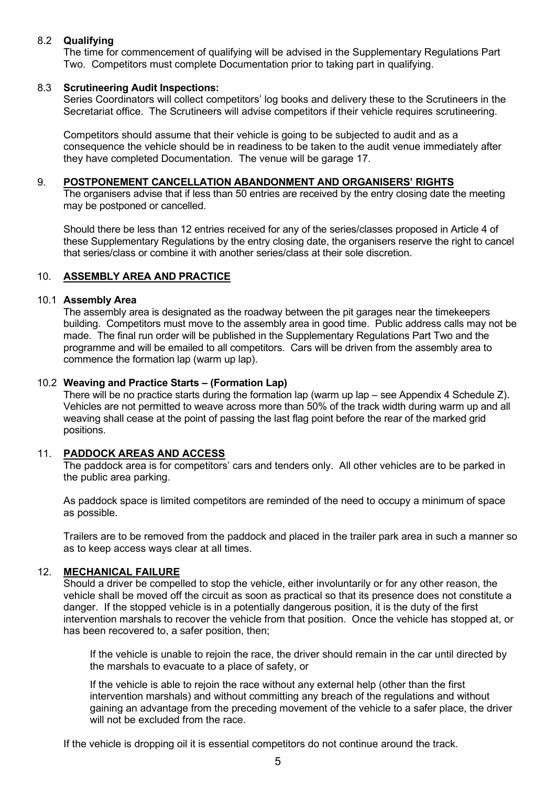## 8.2 **Qualifying**

The time for commencement of qualifying will be advised in the Supplementary Regulations Part Two. Competitors must complete Documentation prior to taking part in qualifying.

#### 8.3 **Scrutineering Audit Inspections:**

Series Coordinators will collect competitors' log books and delivery these to the Scrutineers in the Secretariat office. The Scrutineers will advise competitors if their vehicle requires scrutineering.

Competitors should assume that their vehicle is going to be subjected to audit and as a consequence the vehicle should be in readiness to be taken to the audit venue immediately after they have completed Documentation. The venue will be garage 17.

#### 9. **POSTPONEMENT CANCELLATION ABANDONMENT AND ORGANISERS' RIGHTS**

The organisers advise that if less than 50 entries are received by the entry closing date the meeting may be postponed or cancelled.

Should there be less than 12 entries received for any of the series/classes proposed in Article [4](#page-1-0) of these Supplementary Regulations by the entry closing date, the organisers reserve the right to cancel that series/class or combine it with another series/class at their sole discretion.

#### 10. **ASSEMBLY AREA AND PRACTICE**

#### 10.1 **Assembly Area**

The assembly area is designated as the roadway between the pit garages near the timekeepers building. Competitors must move to the assembly area in good time. Public address calls may not be made. The final run order will be published in the Supplementary Regulations Part Two and the programme and will be emailed to all competitors. Cars will be driven from the assembly area to commence the formation lap (warm up lap).

#### 10.2 **Weaving and Practice Starts – (Formation Lap)**

There will be no practice starts during the formation lap (warm up lap – see Appendix 4 Schedule Z). Vehicles are not permitted to weave across more than 50% of the track width during warm up and all weaving shall cease at the point of passing the last flag point before the rear of the marked grid positions.

#### 11. **PADDOCK AREAS AND ACCESS**

The paddock area is for competitors' cars and tenders only. All other vehicles are to be parked in the public area parking.

As paddock space is limited competitors are reminded of the need to occupy a minimum of space as possible.

Trailers are to be removed from the paddock and placed in the trailer park area in such a manner so as to keep access ways clear at all times.

#### 12. **MECHANICAL FAILURE**

Should a driver be compelled to stop the vehicle, either involuntarily or for any other reason, the vehicle shall be moved off the circuit as soon as practical so that its presence does not constitute a danger. If the stopped vehicle is in a potentially dangerous position, it is the duty of the first intervention marshals to recover the vehicle from that position. Once the vehicle has stopped at, or has been recovered to, a safer position, then;

If the vehicle is unable to rejoin the race, the driver should remain in the car until directed by the marshals to evacuate to a place of safety, or

If the vehicle is able to rejoin the race without any external help (other than the first intervention marshals) and without committing any breach of the regulations and without gaining an advantage from the preceding movement of the vehicle to a safer place, the driver will not be excluded from the race.

If the vehicle is dropping oil it is essential competitors do not continue around the track.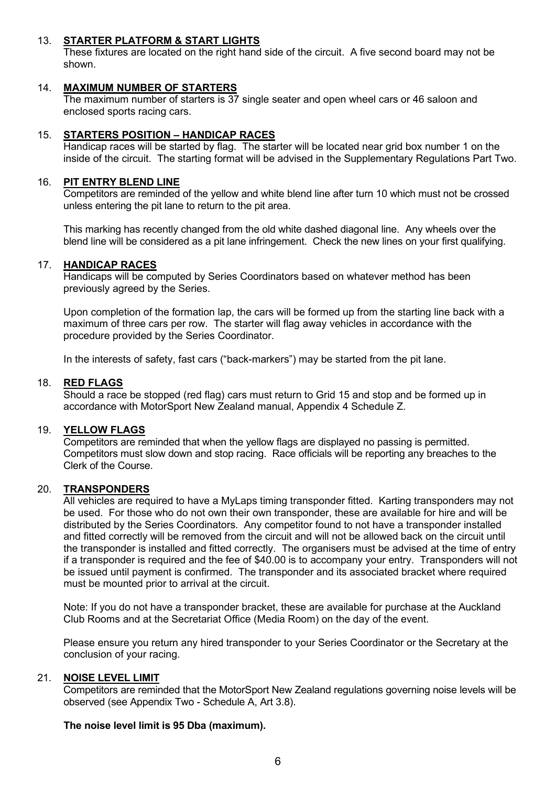#### 13. **STARTER PLATFORM & START LIGHTS**

These fixtures are located on the right hand side of the circuit. A five second board may not be shown.

## 14. **MAXIMUM NUMBER OF STARTERS**

The maximum number of starters is 37 single seater and open wheel cars or 46 saloon and enclosed sports racing cars.

#### 15. **STARTERS POSITION – HANDICAP RACES**

Handicap races will be started by flag. The starter will be located near grid box number 1 on the inside of the circuit. The starting format will be advised in the Supplementary Regulations Part Two.

#### 16. **PIT ENTRY BLEND LINE**

Competitors are reminded of the yellow and white blend line after turn 10 which must not be crossed unless entering the pit lane to return to the pit area.

This marking has recently changed from the old white dashed diagonal line. Any wheels over the blend line will be considered as a pit lane infringement. Check the new lines on your first qualifying.

#### 17. **HANDICAP RACES**

Handicaps will be computed by Series Coordinators based on whatever method has been previously agreed by the Series.

Upon completion of the formation lap, the cars will be formed up from the starting line back with a maximum of three cars per row. The starter will flag away vehicles in accordance with the procedure provided by the Series Coordinator.

In the interests of safety, fast cars ("back-markers") may be started from the pit lane.

#### 18. **RED FLAGS**

Should a race be stopped (red flag) cars must return to Grid 15 and stop and be formed up in accordance with MotorSport New Zealand manual, Appendix 4 Schedule Z.

## 19. **YELLOW FLAGS**

Competitors are reminded that when the yellow flags are displayed no passing is permitted. Competitors must slow down and stop racing. Race officials will be reporting any breaches to the Clerk of the Course.

#### 20. **TRANSPONDERS**

All vehicles are required to have a MyLaps timing transponder fitted. Karting transponders may not be used. For those who do not own their own transponder, these are available for hire and will be distributed by the Series Coordinators. Any competitor found to not have a transponder installed and fitted correctly will be removed from the circuit and will not be allowed back on the circuit until the transponder is installed and fitted correctly. The organisers must be advised at the time of entry if a transponder is required and the fee of \$40.00 is to accompany your entry. Transponders will not be issued until payment is confirmed. The transponder and its associated bracket where required must be mounted prior to arrival at the circuit.

Note: If you do not have a transponder bracket, these are available for purchase at the Auckland Club Rooms and at the Secretariat Office (Media Room) on the day of the event.

Please ensure you return any hired transponder to your Series Coordinator or the Secretary at the conclusion of your racing.

#### 21. **NOISE LEVEL LIMIT**

Competitors are reminded that the MotorSport New Zealand regulations governing noise levels will be observed (see Appendix Two - Schedule A, Art 3.8).

#### **The noise level limit is 95 Dba (maximum).**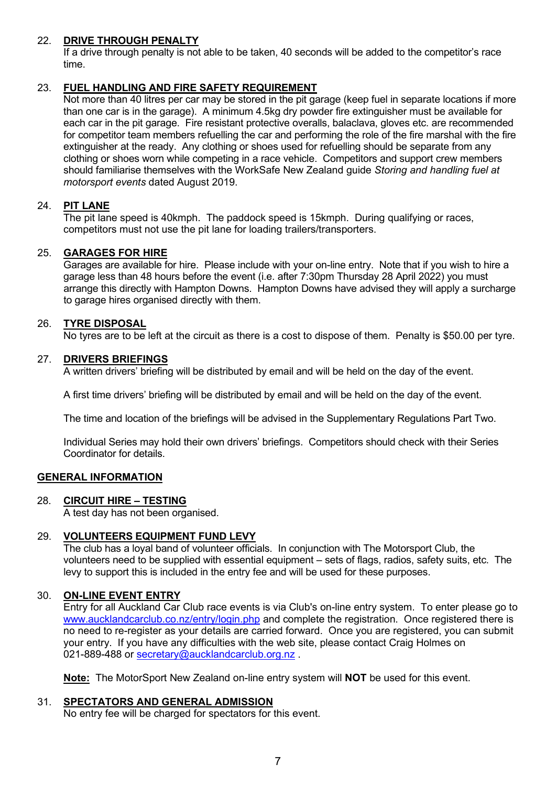#### 22. **DRIVE THROUGH PENALTY**

If a drive through penalty is not able to be taken, 40 seconds will be added to the competitor's race time.

## 23. **FUEL HANDLING AND FIRE SAFETY REQUIREMENT**

Not more than 40 litres per car may be stored in the pit garage (keep fuel in separate locations if more than one car is in the garage). A minimum 4.5kg dry powder fire extinguisher must be available for each car in the pit garage. Fire resistant protective overalls, balaclava, gloves etc. are recommended for competitor team members refuelling the car and performing the role of the fire marshal with the fire extinguisher at the ready. Any clothing or shoes used for refuelling should be separate from any clothing or shoes worn while competing in a race vehicle. Competitors and support crew members should familiarise themselves with the WorkSafe New Zealand guide *Storing and handling fuel at motorsport events* dated August 2019.

## 24. **PIT LANE**

The pit lane speed is 40kmph. The paddock speed is 15kmph. During qualifying or races, competitors must not use the pit lane for loading trailers/transporters.

#### 25. **GARAGES FOR HIRE**

Garages are available for hire. Please include with your on-line entry. Note that if you wish to hire a garage less than 48 hours before the event (i.e. after 7:30pm Thursday 28 April 2022) you must arrange this directly with Hampton Downs. Hampton Downs have advised they will apply a surcharge to garage hires organised directly with them.

#### 26. **TYRE DISPOSAL**

No tyres are to be left at the circuit as there is a cost to dispose of them. Penalty is \$50.00 per tyre.

#### 27. **DRIVERS BRIEFINGS**

A written drivers' briefing will be distributed by email and will be held on the day of the event.

A first time drivers' briefing will be distributed by email and will be held on the day of the event.

The time and location of the briefings will be advised in the Supplementary Regulations Part Two.

Individual Series may hold their own drivers' briefings. Competitors should check with their Series Coordinator for details.

#### **GENERAL INFORMATION**

#### 28. **CIRCUIT HIRE – TESTING**

A test day has not been organised.

#### 29. **VOLUNTEERS EQUIPMENT FUND LEVY**

The club has a loyal band of volunteer officials. In conjunction with The Motorsport Club, the volunteers need to be supplied with essential equipment – sets of flags, radios, safety suits, etc. The levy to support this is included in the entry fee and will be used for these purposes.

#### 30. **ON-LINE EVENT ENTRY**

Entry for all Auckland Car Club race events is via Club's on-line entry system. To enter please go to [www.aucklandcarclub.co.nz/entry/login.php](http://www.aucklandcarclub.co.nz/entry/login.php) and complete the registration. Once registered there is no need to re-register as your details are carried forward. Once you are registered, you can submit your entry. If you have any difficulties with the web site, please contact Craig Holmes on 021-889-488 or secretary@aucklandcarclub.org.nz

**Note:** The MotorSport New Zealand on-line entry system will **NOT** be used for this event.

#### 31. **SPECTATORS AND GENERAL ADMISSION**

No entry fee will be charged for spectators for this event.